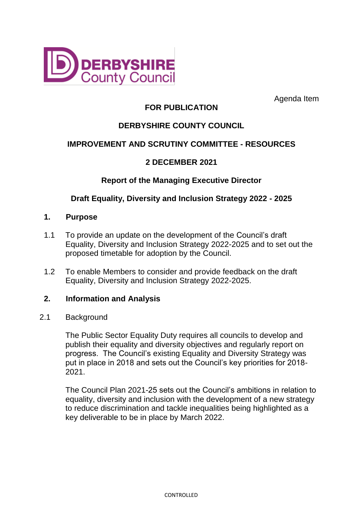

Agenda Item

# **FOR PUBLICATION**

# **DERBYSHIRE COUNTY COUNCIL**

# **IMPROVEMENT AND SCRUTINY COMMITTEE - RESOURCES**

# **2 DECEMBER 2021**

### **Report of the Managing Executive Director**

# **Draft Equality, Diversity and Inclusion Strategy 2022 - 2025**

#### **1. Purpose**

- 1.1 To provide an update on the development of the Council's draft Equality, Diversity and Inclusion Strategy 2022-2025 and to set out the proposed timetable for adoption by the Council.
- 1.2 To enable Members to consider and provide feedback on the draft Equality, Diversity and Inclusion Strategy 2022-2025.

### **2. Information and Analysis**

#### 2.1 Background

The Public Sector Equality Duty requires all councils to develop and publish their equality and diversity objectives and regularly report on progress. The Council's existing Equality and Diversity Strategy was put in place in 2018 and sets out the Council's key priorities for 2018- 2021.

The Council Plan 2021-25 sets out the Council's ambitions in relation to equality, diversity and inclusion with the development of a new strategy to reduce discrimination and tackle inequalities being highlighted as a key deliverable to be in place by March 2022.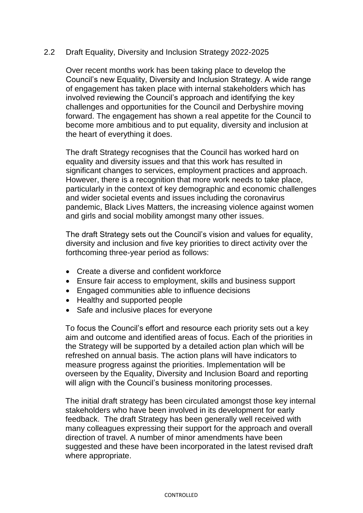#### 2.2 Draft Equality, Diversity and Inclusion Strategy 2022-2025

Over recent months work has been taking place to develop the Council's new Equality, Diversity and Inclusion Strategy. A wide range of engagement has taken place with internal stakeholders which has involved reviewing the Council's approach and identifying the key challenges and opportunities for the Council and Derbyshire moving forward. The engagement has shown a real appetite for the Council to become more ambitious and to put equality, diversity and inclusion at the heart of everything it does.

The draft Strategy recognises that the Council has worked hard on equality and diversity issues and that this work has resulted in significant changes to services, employment practices and approach. However, there is a recognition that more work needs to take place, particularly in the context of key demographic and economic challenges and wider societal events and issues including the coronavirus pandemic, Black Lives Matters, the increasing violence against women and girls and social mobility amongst many other issues.

The draft Strategy sets out the Council's vision and values for equality, diversity and inclusion and five key priorities to direct activity over the forthcoming three-year period as follows:

- Create a diverse and confident workforce
- Ensure fair access to employment, skills and business support
- Engaged communities able to influence decisions
- Healthy and supported people
- Safe and inclusive places for everyone

To focus the Council's effort and resource each priority sets out a key aim and outcome and identified areas of focus. Each of the priorities in the Strategy will be supported by a detailed action plan which will be refreshed on annual basis. The action plans will have indicators to measure progress against the priorities. Implementation will be overseen by the Equality, Diversity and Inclusion Board and reporting will align with the Council's business monitoring processes.

The initial draft strategy has been circulated amongst those key internal stakeholders who have been involved in its development for early feedback. The draft Strategy has been generally well received with many colleagues expressing their support for the approach and overall direction of travel. A number of minor amendments have been suggested and these have been incorporated in the latest revised draft where appropriate.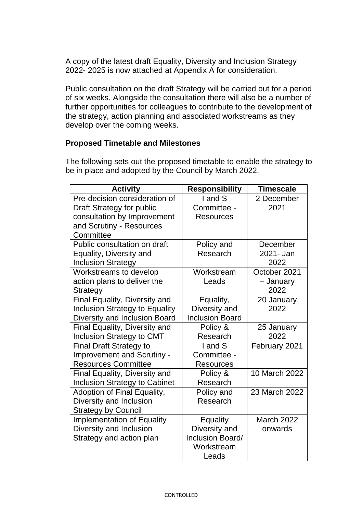A copy of the latest draft Equality, Diversity and Inclusion Strategy 2022- 2025 is now attached at Appendix A for consideration.

Public consultation on the draft Strategy will be carried out for a period of six weeks. Alongside the consultation there will also be a number of further opportunities for colleagues to contribute to the development of the strategy, action planning and associated workstreams as they develop over the coming weeks.

### **Proposed Timetable and Milestones**

The following sets out the proposed timetable to enable the strategy to be in place and adopted by the Council by March 2022.

| <b>Activity</b>                       | <b>Responsibility</b>  | Timescale     |
|---------------------------------------|------------------------|---------------|
| Pre-decision consideration of         | I and S                | 2 December    |
| Draft Strategy for public             | Committee -            | 2021          |
| consultation by Improvement           | <b>Resources</b>       |               |
| and Scrutiny - Resources              |                        |               |
| Committee                             |                        |               |
| Public consultation on draft          | Policy and             | December      |
| Equality, Diversity and               | Research               | 2021- Jan     |
| <b>Inclusion Strategy</b>             |                        | 2022          |
| Workstreams to develop                | Workstream             | October 2021  |
| action plans to deliver the           | Leads                  | - January     |
| <b>Strategy</b>                       |                        | 2022          |
| Final Equality, Diversity and         | Equality,              | 20 January    |
| <b>Inclusion Strategy to Equality</b> | Diversity and          | 2022          |
| Diversity and Inclusion Board         | <b>Inclusion Board</b> |               |
| Final Equality, Diversity and         | Policy &               | 25 January    |
| Inclusion Strategy to CMT             | Research               | 2022          |
| <b>Final Draft Strategy to</b>        | I and S                | February 2021 |
| <b>Improvement and Scrutiny -</b>     | Committee -            |               |
| <b>Resources Committee</b>            | <b>Resources</b>       |               |
| Final Equality, Diversity and         | Policy &               | 10 March 2022 |
| <b>Inclusion Strategy to Cabinet</b>  | Research               |               |
| Adoption of Final Equality,           | Policy and             | 23 March 2022 |
| Diversity and Inclusion               | Research               |               |
| <b>Strategy by Council</b>            |                        |               |
| <b>Implementation of Equality</b>     | Equality               | March 2022    |
| Diversity and Inclusion               | Diversity and          | onwards       |
| Strategy and action plan              | Inclusion Board/       |               |
|                                       | Workstream             |               |
|                                       | Leads                  |               |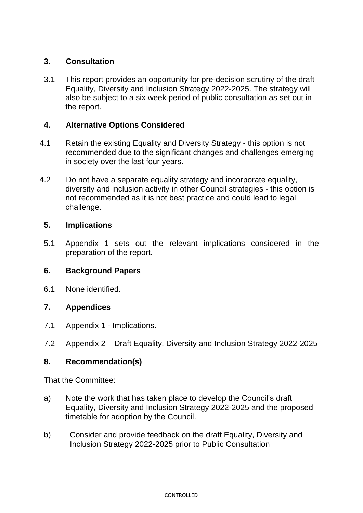# **3. Consultation**

3.1 This report provides an opportunity for pre-decision scrutiny of the draft Equality, Diversity and Inclusion Strategy 2022-2025. The strategy will also be subject to a six week period of public consultation as set out in the report.

# **4. Alternative Options Considered**

- 4.1 Retain the existing Equality and Diversity Strategy this option is not recommended due to the significant changes and challenges emerging in society over the last four years.
- 4.2 Do not have a separate equality strategy and incorporate equality, diversity and inclusion activity in other Council strategies - this option is not recommended as it is not best practice and could lead to legal challenge.

# **5. Implications**

5.1 Appendix 1 sets out the relevant implications considered in the preparation of the report.

### **6. Background Papers**

6.1 None identified.

### **7. Appendices**

- 7.1 Appendix 1 Implications.
- 7.2 Appendix 2 Draft Equality, Diversity and Inclusion Strategy 2022-2025

### **8. Recommendation(s)**

That the Committee:

- a) Note the work that has taken place to develop the Council's draft Equality, Diversity and Inclusion Strategy 2022-2025 and the proposed timetable for adoption by the Council.
- b) Consider and provide feedback on the draft Equality, Diversity and Inclusion Strategy 2022-2025 prior to Public Consultation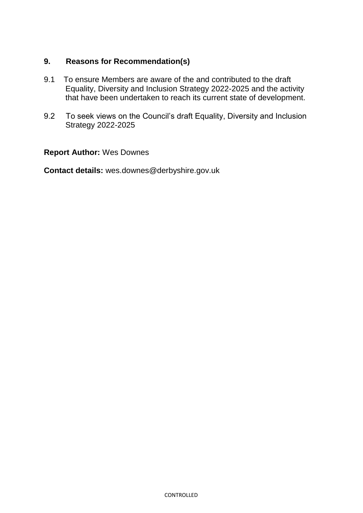# **9. Reasons for Recommendation(s)**

- 9.1 To ensure Members are aware of the and contributed to the draft Equality, Diversity and Inclusion Strategy 2022-2025 and the activity that have been undertaken to reach its current state of development.
- 9.2 To seek views on the Council's draft Equality, Diversity and Inclusion Strategy 2022-2025

# **Report Author:** Wes Downes

**Contact details:** wes.downes@derbyshire.gov.uk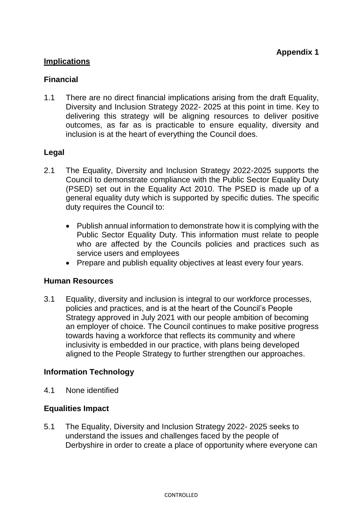# **Implications**

# **Financial**

1.1 There are no direct financial implications arising from the draft Equality, Diversity and Inclusion Strategy 2022- 2025 at this point in time. Key to delivering this strategy will be aligning resources to deliver positive outcomes, as far as is practicable to ensure equality, diversity and inclusion is at the heart of everything the Council does.

# **Legal**

- 2.1 The Equality, Diversity and Inclusion Strategy 2022-2025 supports the Council to demonstrate compliance with the Public Sector Equality Duty (PSED) set out in the Equality Act 2010. The PSED is made up of a general equality duty which is supported by specific duties. The specific duty requires the Council to:
	- Publish annual information to demonstrate how it is complying with the Public Sector Equality Duty. This information must relate to people who are affected by the Councils policies and practices such as service users and employees
	- Prepare and publish equality objectives at least every four years.

### **Human Resources**

3.1 Equality, diversity and inclusion is integral to our workforce processes, policies and practices, and is at the heart of the Council's People Strategy approved in July 2021 with our people ambition of becoming an employer of choice. The Council continues to make positive progress towards having a workforce that reflects its community and where inclusivity is embedded in our practice, with plans being developed aligned to the People Strategy to further strengthen our approaches.

### **Information Technology**

4.1 None identified

### **Equalities Impact**

5.1 The Equality, Diversity and Inclusion Strategy 2022- 2025 seeks to understand the issues and challenges faced by the people of Derbyshire in order to create a place of opportunity where everyone can